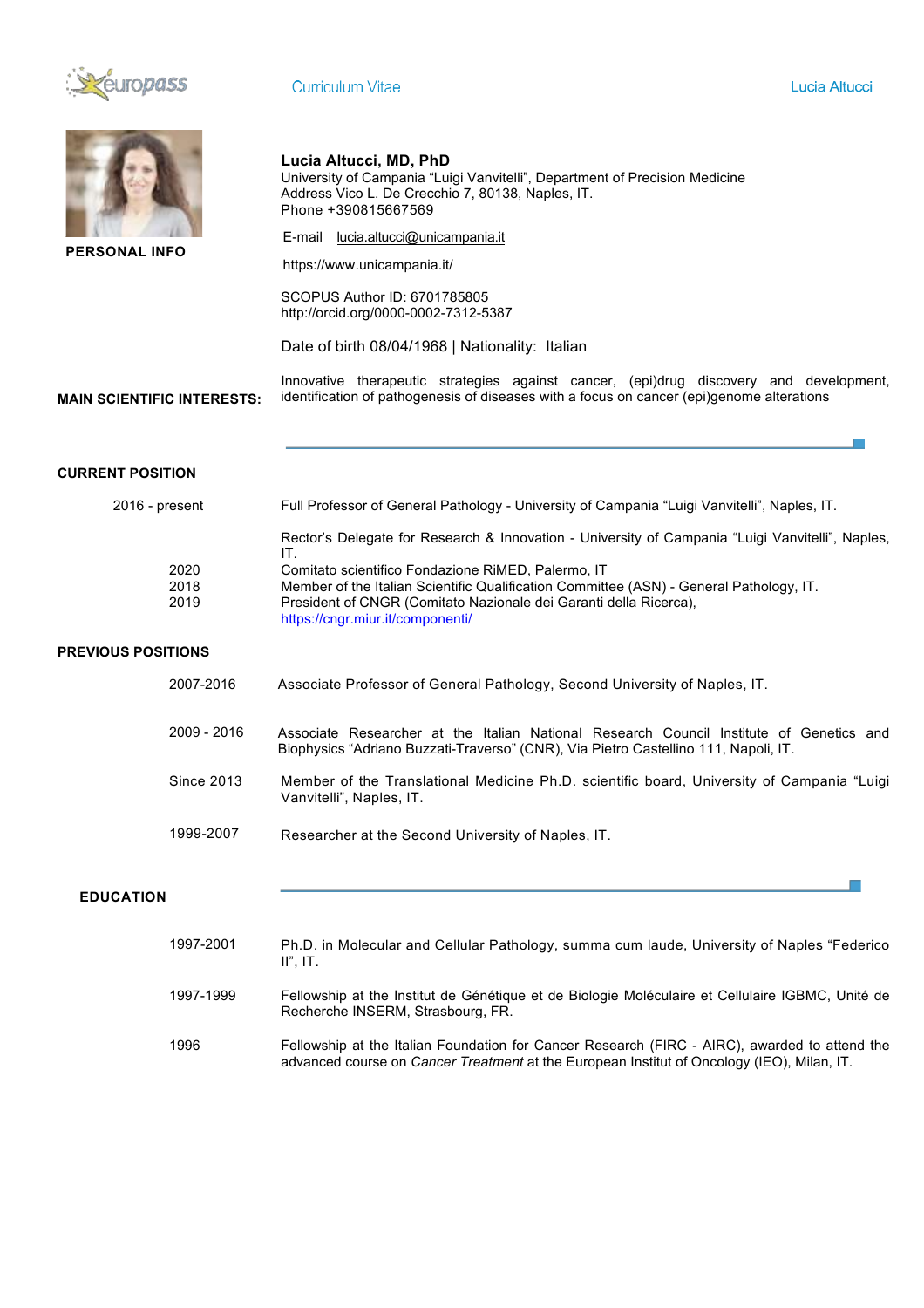

| <b>PERSONAL INFO</b><br><b>MAIN SCIENTIFIC INTERESTS:</b> |                      | Lucia Altucci, MD, PhD<br>University of Campania "Luigi Vanvitelli", Department of Precision Medicine<br>Address Vico L. De Crecchio 7, 80138, Naples, IT.<br>Phone +390815667569<br>E-mail lucia.altucci@unicampania.it<br>https://www.unicampania.it/<br>SCOPUS Author ID: 6701785805<br>http://orcid.org/0000-0002-7312-5387<br>Date of birth 08/04/1968   Nationality: Italian<br>Innovative therapeutic strategies against cancer, (epi)drug discovery and development,<br>identification of pathogenesis of diseases with a focus on cancer (epi)genome alterations |  |  |  |  |  |
|-----------------------------------------------------------|----------------------|---------------------------------------------------------------------------------------------------------------------------------------------------------------------------------------------------------------------------------------------------------------------------------------------------------------------------------------------------------------------------------------------------------------------------------------------------------------------------------------------------------------------------------------------------------------------------|--|--|--|--|--|
| <b>CURRENT POSITION</b>                                   |                      |                                                                                                                                                                                                                                                                                                                                                                                                                                                                                                                                                                           |  |  |  |  |  |
| 2016 - present                                            |                      | Full Professor of General Pathology - University of Campania "Luigi Vanvitelli", Naples, IT.                                                                                                                                                                                                                                                                                                                                                                                                                                                                              |  |  |  |  |  |
|                                                           |                      | Rector's Delegate for Research & Innovation - University of Campania "Luigi Vanvitelli", Naples,                                                                                                                                                                                                                                                                                                                                                                                                                                                                          |  |  |  |  |  |
|                                                           | 2020<br>2018<br>2019 | IT.<br>Comitato scientifico Fondazione RiMED, Palermo, IT<br>Member of the Italian Scientific Qualification Committee (ASN) - General Pathology, IT.<br>President of CNGR (Comitato Nazionale dei Garanti della Ricerca),<br>https://cngr.miur.it/componenti/                                                                                                                                                                                                                                                                                                             |  |  |  |  |  |
| <b>PREVIOUS POSITIONS</b>                                 |                      |                                                                                                                                                                                                                                                                                                                                                                                                                                                                                                                                                                           |  |  |  |  |  |
|                                                           | 2007-2016            | Associate Professor of General Pathology, Second University of Naples, IT.                                                                                                                                                                                                                                                                                                                                                                                                                                                                                                |  |  |  |  |  |
|                                                           | 2009 - 2016          | Associate Researcher at the Italian National Research Council Institute of Genetics and<br>Biophysics "Adriano Buzzati-Traverso" (CNR), Via Pietro Castellino 111, Napoli, IT.                                                                                                                                                                                                                                                                                                                                                                                            |  |  |  |  |  |
|                                                           | <b>Since 2013</b>    | Member of the Translational Medicine Ph.D. scientific board, University of Campania "Luigi<br>Vanvitelli", Naples, IT.                                                                                                                                                                                                                                                                                                                                                                                                                                                    |  |  |  |  |  |
|                                                           | 1999-2007            | Researcher at the Second University of Naples, IT.                                                                                                                                                                                                                                                                                                                                                                                                                                                                                                                        |  |  |  |  |  |
| <b>EDUCATION</b>                                          |                      |                                                                                                                                                                                                                                                                                                                                                                                                                                                                                                                                                                           |  |  |  |  |  |
|                                                           | 1997-2001            | Ph.D. in Molecular and Cellular Pathology, summa cum laude, University of Naples "Federico<br>$II$ ", $IT$ .                                                                                                                                                                                                                                                                                                                                                                                                                                                              |  |  |  |  |  |
|                                                           | 1997-1999            | Fellowship at the Institut de Génétique et de Biologie Moléculaire et Cellulaire IGBMC, Unité de<br>Recherche INSERM, Strasbourg, FR.                                                                                                                                                                                                                                                                                                                                                                                                                                     |  |  |  |  |  |
|                                                           | 1996                 | Fellowship at the Italian Foundation for Cancer Research (FIRC - AIRC), awarded to attend the<br>advanced course on Cancer Treatment at the European Institut of Oncology (IEO), Milan, IT.                                                                                                                                                                                                                                                                                                                                                                               |  |  |  |  |  |
|                                                           |                      |                                                                                                                                                                                                                                                                                                                                                                                                                                                                                                                                                                           |  |  |  |  |  |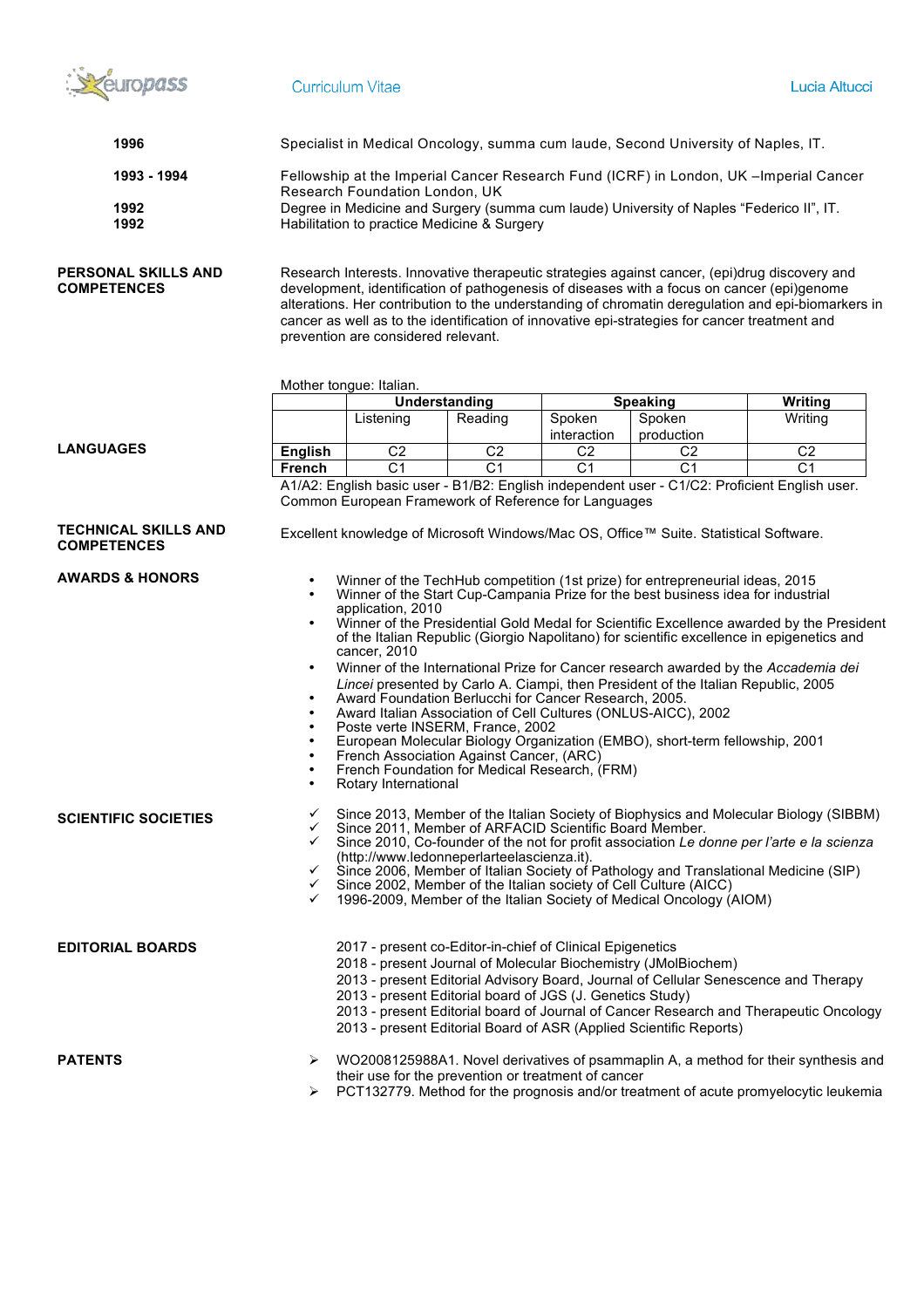

| 1996                                              | Specialist in Medical Oncology, summa cum laude, Second University of Naples, IT.                                                                                                                                                                                                                                                                                                                                                                                                                                                                                                                                                                                                                                                                                                                                                                                                                                                                         |                |                      |                                                           |                                                                                       |                                                                                               |  |  |
|---------------------------------------------------|-----------------------------------------------------------------------------------------------------------------------------------------------------------------------------------------------------------------------------------------------------------------------------------------------------------------------------------------------------------------------------------------------------------------------------------------------------------------------------------------------------------------------------------------------------------------------------------------------------------------------------------------------------------------------------------------------------------------------------------------------------------------------------------------------------------------------------------------------------------------------------------------------------------------------------------------------------------|----------------|----------------------|-----------------------------------------------------------|---------------------------------------------------------------------------------------|-----------------------------------------------------------------------------------------------|--|--|
| 1993 - 1994<br>1992<br>1992                       | Fellowship at the Imperial Cancer Research Fund (ICRF) in London, UK -Imperial Cancer<br>Research Foundation London, UK<br>Degree in Medicine and Surgery (summa cum laude) University of Naples "Federico II", IT.<br>Habilitation to practice Medicine & Surgery                                                                                                                                                                                                                                                                                                                                                                                                                                                                                                                                                                                                                                                                                        |                |                      |                                                           |                                                                                       |                                                                                               |  |  |
| PERSONAL SKILLS AND<br><b>COMPETENCES</b>         | Research Interests. Innovative therapeutic strategies against cancer, (epi)drug discovery and<br>development, identification of pathogenesis of diseases with a focus on cancer (epi)genome<br>alterations. Her contribution to the understanding of chromatin deregulation and epi-biomarkers in<br>cancer as well as to the identification of innovative epi-strategies for cancer treatment and<br>prevention are considered relevant.                                                                                                                                                                                                                                                                                                                                                                                                                                                                                                                 |                |                      |                                                           |                                                                                       |                                                                                               |  |  |
|                                                   | Mother tongue: Italian.                                                                                                                                                                                                                                                                                                                                                                                                                                                                                                                                                                                                                                                                                                                                                                                                                                                                                                                                   |                |                      |                                                           |                                                                                       |                                                                                               |  |  |
|                                                   |                                                                                                                                                                                                                                                                                                                                                                                                                                                                                                                                                                                                                                                                                                                                                                                                                                                                                                                                                           |                | <b>Understanding</b> |                                                           | <b>Speaking</b>                                                                       | Writing                                                                                       |  |  |
|                                                   |                                                                                                                                                                                                                                                                                                                                                                                                                                                                                                                                                                                                                                                                                                                                                                                                                                                                                                                                                           | Listening      | Reading              | Spoken<br>interaction                                     | Spoken                                                                                | Writing                                                                                       |  |  |
| <b>LANGUAGES</b>                                  | <b>English</b>                                                                                                                                                                                                                                                                                                                                                                                                                                                                                                                                                                                                                                                                                                                                                                                                                                                                                                                                            | C <sub>2</sub> | C <sub>2</sub>       | C <sub>2</sub>                                            | production<br>C <sub>2</sub>                                                          | C <sub>2</sub>                                                                                |  |  |
|                                                   |                                                                                                                                                                                                                                                                                                                                                                                                                                                                                                                                                                                                                                                                                                                                                                                                                                                                                                                                                           | C <sub>1</sub> | $\overline{C1}$      | $\overline{C1}$                                           | C <sub>1</sub>                                                                        | C <sub>1</sub>                                                                                |  |  |
|                                                   | <b>French</b>                                                                                                                                                                                                                                                                                                                                                                                                                                                                                                                                                                                                                                                                                                                                                                                                                                                                                                                                             |                |                      |                                                           |                                                                                       | A1/A2: English basic user - B1/B2: English independent user - C1/C2: Proficient English user. |  |  |
| <b>TECHNICAL SKILLS AND</b><br><b>COMPETENCES</b> |                                                                                                                                                                                                                                                                                                                                                                                                                                                                                                                                                                                                                                                                                                                                                                                                                                                                                                                                                           |                |                      |                                                           | Excellent knowledge of Microsoft Windows/Mac OS, Office™ Suite. Statistical Software. |                                                                                               |  |  |
| <b>AWARDS &amp; HONORS</b>                        | Winner of the TechHub competition (1st prize) for entrepreneurial ideas, 2015<br>Winner of the Start Cup-Campania Prize for the best business idea for industrial<br>application, 2010<br>Winner of the Presidential Gold Medal for Scientific Excellence awarded by the President<br>of the Italian Republic (Giorgio Napolitano) for scientific excellence in epigenetics and<br>cancer, 2010<br>Winner of the International Prize for Cancer research awarded by the Accademia dei<br>Lincei presented by Carlo A. Ciampi, then President of the Italian Republic, 2005<br>Award Foundation Berlucchi for Cancer Research, 2005.<br>Award Italian Association of Cell Cultures (ONLUS-AICC), 2002<br>Poste verte INSERM, France, 2002<br>European Molecular Biology Organization (EMBO), short-term fellowship, 2001<br>French Association Against Cancer, (ARC)<br>French Foundation for Medical Research, (FRM)<br>Rotary International<br>$\bullet$ |                |                      |                                                           |                                                                                       |                                                                                               |  |  |
| <b>SCIENTIFIC SOCIETIES</b>                       | Since 2013, Member of the Italian Society of Biophysics and Molecular Biology (SIBBM)<br>$\checkmark$<br>✓<br>Since 2011, Member of ARFACID Scientific Board Member.<br>Since 2010, Co-founder of the not for profit association Le donne per l'arte e la scienza<br>(http://www.ledonneperlarteelascienza.it).<br>Since 2006, Member of Italian Society of Pathology and Translational Medicine (SIP)<br>$\checkmark$<br>Since 2002, Member of the Italian society of Cell Culture (AICC)<br>$\checkmark$<br>1996-2009, Member of the Italian Society of Medical Oncology (AIOM)<br>$\checkmark$                                                                                                                                                                                                                                                                                                                                                         |                |                      |                                                           |                                                                                       |                                                                                               |  |  |
| <b>EDITORIAL BOARDS</b>                           |                                                                                                                                                                                                                                                                                                                                                                                                                                                                                                                                                                                                                                                                                                                                                                                                                                                                                                                                                           |                |                      | 2017 - present co-Editor-in-chief of Clinical Epigenetics | 2018 - present Journal of Molecular Biochemistry (JMolBiochem)                        | 2013 - present Editorial Advisory Board, Journal of Cellular Senescence and Therapy           |  |  |

- 2013 present Editorial board of JGS (J. Genetics Study)
- 
- 2013 present Editorial board of Journal of Cancer Research and Therapeutic Oncology
- 2013 present Editorial Board of ASR (Applied Scientific Reports)

**PATENTS**

- Ø WO2008125988A1. Novel derivatives of psammaplin A, a method for their synthesis and their use for the prevention or treatment of cancer
	- Ø PCT132779. Method for the prognosis and/or treatment of acute promyelocytic leukemia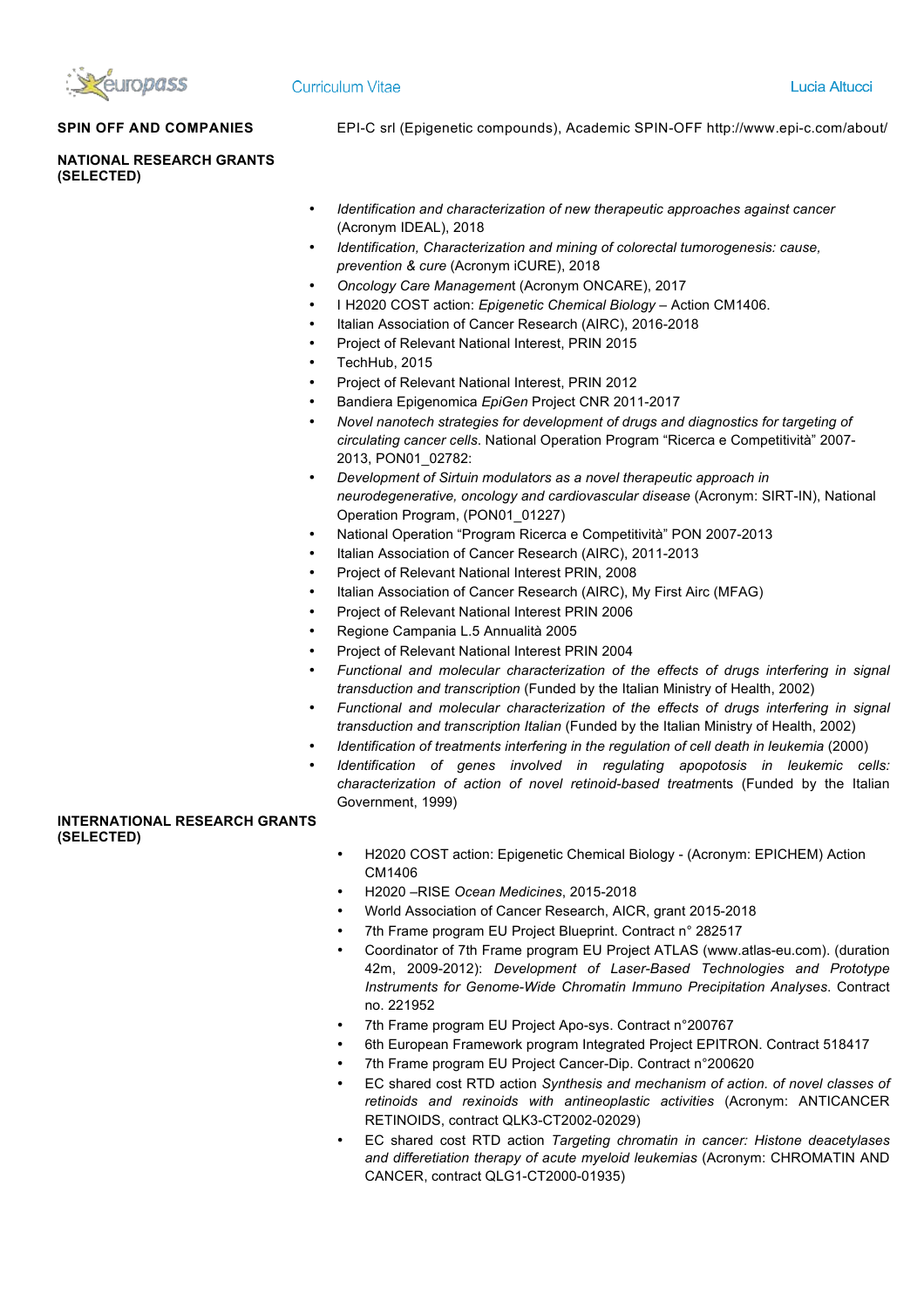

# **Curriculum Vitae**

**SPIN OFF AND COMPANIES** EPI-C srl (Epigenetic compounds), Academic SPIN-OFF http://www.epi-c.com/about/

**NATIONAL RESEARCH GRANTS (SELECTED)**

- *Identification and characterization of new therapeutic approaches against cancer* (Acronym IDEAL), 2018
- *Identification, Characterization and mining of colorectal tumorogenesis: cause, prevention & cure* (Acronym iCURE), 2018
- *Oncology Care Managemen*t (Acronym ONCARE), 2017
- I H2020 COST action: *Epigenetic Chemical Biology* Action CM1406.
- Italian Association of Cancer Research (AIRC), 2016-2018
- Project of Relevant National Interest, PRIN 2015
- TechHub, 2015
- Project of Relevant National Interest, PRIN 2012
- Bandiera Epigenomica *EpiGen* Project CNR 2011-2017
- *Novel nanotech strategies for development of drugs and diagnostics for targeting of circulating cancer cells*. National Operation Program "Ricerca e Competitività" 2007- 2013, PON01\_02782:
- *Development of Sirtuin modulators as a novel therapeutic approach in neurodegenerative, oncology and cardiovascular disease* (Acronym: SIRT-IN), National Operation Program, (PON01\_01227)
- National Operation "Program Ricerca e Competitività" PON 2007-2013
- Italian Association of Cancer Research (AIRC), 2011-2013
- Project of Relevant National Interest PRIN, 2008
- Italian Association of Cancer Research (AIRC), My First Airc (MFAG)
- Project of Relevant National Interest PRIN 2006
- Regione Campania L.5 Annualità 2005
- Project of Relevant National Interest PRIN 2004
- *Functional and molecular characterization of the effects of drugs interfering in signal transduction and transcription* (Funded by the Italian Ministry of Health, 2002)
- *Functional and molecular characterization of the effects of drugs interfering in signal transduction and transcription Italian* (Funded by the Italian Ministry of Health, 2002)
- *Identification of treatments interfering in the regulation of cell death in leukemia* (2000)
- *Identification of genes involved in regulating apopotosis in leukemic cells: characterization of action of novel retinoid-based treatme*nts (Funded by the Italian Government, 1999)

# **INTERNATIONAL RESEARCH GRANTS (SELECTED)**

- H2020 COST action: Epigenetic Chemical Biology (Acronym: EPICHEM) Action CM1406
- H2020 –RISE *Ocean Medicines*, 2015-2018
- World Association of Cancer Research, AICR, grant 2015-2018
- 7th Frame program EU Project Blueprint. Contract n° 282517
- Coordinator of 7th Frame program EU Project ATLAS (www.atlas-eu.com). (duration 42m, 2009-2012): *Development of Laser-Based Technologies and Prototype Instruments for Genome-Wide Chromatin Immuno Precipitation Analyses*. Contract no. 221952
- 7th Frame program EU Project Apo-sys. Contract n°200767
- 6th European Framework program Integrated Project EPITRON. Contract 518417
- 7th Frame program EU Project Cancer-Dip. Contract n°200620
- EC shared cost RTD action *Synthesis and mechanism of action. of novel classes of retinoids and rexinoids with antineoplastic activities* (Acronym: ANTICANCER RETINOIDS, contract QLK3-CT2002-02029)
- EC shared cost RTD action *Targeting chromatin in cancer: Histone deacetylases and differetiation therapy of acute myeloid leukemias* (Acronym: CHROMATIN AND CANCER, contract QLG1-CT2000-01935)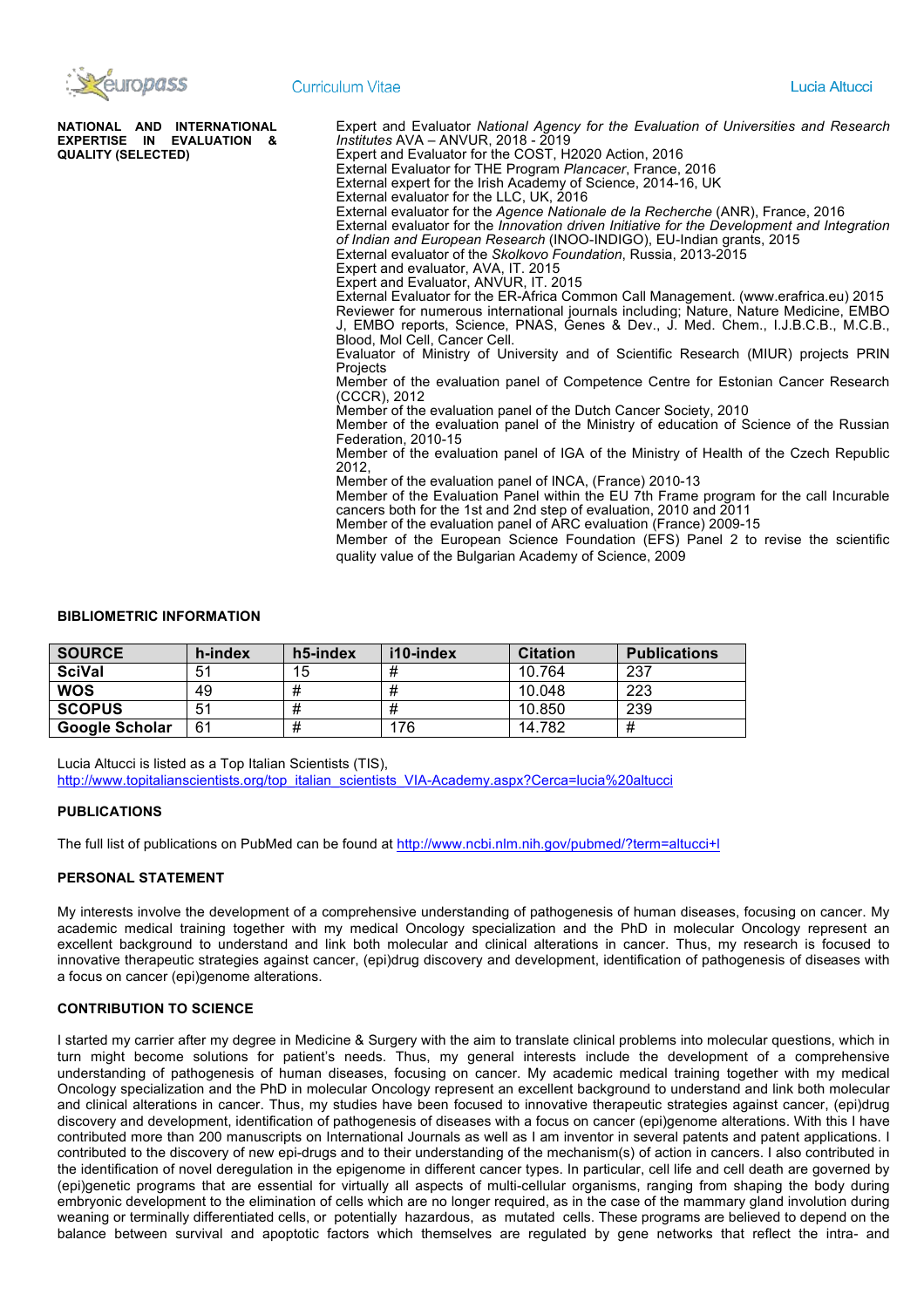

| NATIONAL AND INTERNATIONAL | Expert and Evaluator National Agency for the Evaluation of Universities and Research        |
|----------------------------|---------------------------------------------------------------------------------------------|
| EXPERTISE IN EVALUATION &  | Institutes AVA - ANVUR, 2018 - 2019                                                         |
| <b>QUALITY (SELECTED)</b>  | Expert and Evaluator for the COST, H2020 Action, 2016                                       |
|                            | External Evaluator for THE Program Plancacer, France, 2016                                  |
|                            | External expert for the Irish Academy of Science, 2014-16, UK                               |
|                            | External evaluator for the LLC, UK, 2016                                                    |
|                            | External evaluator for the Agence Nationale de la Recherche (ANR), France, 2016             |
|                            | External evaluator for the Innovation driven Initiative for the Development and Integration |
|                            | of Indian and European Research (INOO-INDIGO), EU-Indian grants, 2015                       |
|                            | External evaluator of the Skolkovo Foundation, Russia, 2013-2015                            |
|                            | Expert and evaluator, AVA, IT. 2015                                                         |
|                            | Expert and Evaluator, ANVUR, IT. 2015                                                       |
|                            | External Evaluator for the ER-Africa Common Call Management. (www.erafrica.eu) 2015         |
|                            | Reviewer for numerous international journals including; Nature, Nature Medicine, EMBO       |
|                            | J, EMBO reports, Science, PNAS, Genes & Dev., J. Med. Chem., I.J.B.C.B., M.C.B.,            |
|                            | Blood, Mol Cell, Cancer Cell,                                                               |
|                            | Evaluator of Ministry of University and of Scientific Research (MIUR) projects PRIN         |
|                            | Projects                                                                                    |
|                            | Member of the evaluation panel of Competence Centre for Estonian Cancer Research            |
|                            | (CCCR), 2012                                                                                |
|                            | Member of the evaluation panel of the Dutch Cancer Society, 2010                            |
|                            | Member of the evaluation panel of the Ministry of education of Science of the Russian       |
|                            | Federation, 2010-15                                                                         |
|                            | Member of the evaluation panel of IGA of the Ministry of Health of the Czech Republic       |
|                            | 2012,                                                                                       |
|                            | Member of the evaluation panel of INCA, (France) 2010-13                                    |
|                            | Member of the Evaluation Panel within the EU 7th Frame program for the call Incurable       |
|                            | cancers both for the 1st and 2nd step of evaluation, 2010 and 2011                          |
|                            | Member of the evaluation panel of ARC evaluation (France) 2009-15                           |
|                            |                                                                                             |
|                            | Member of the European Science Foundation (EFS) Panel 2 to revise the scientific            |
|                            | quality value of the Bulgarian Academy of Science, 2009                                     |
|                            |                                                                                             |

#### **BIBLIOMETRIC INFORMATION**

| <b>SOURCE</b>  | h-index | h5-index | i10-index | <b>Citation</b> | <b>Publications</b> |
|----------------|---------|----------|-----------|-----------------|---------------------|
| <b>SciVal</b>  | 51      | 15       |           | 10.764          | 237                 |
| <b>WOS</b>     | 49      | #        |           | 10.048          | 223                 |
| <b>SCOPUS</b>  | 51      | #        |           | 10.850          | 239                 |
| Google Scholar | 61      | #        | 176       | 14.782          | #                   |

Lucia Altucci is listed as a Top Italian Scientists (TIS), http://www.topitalianscientists.org/top\_italian\_scientists\_VIA-Academy.aspx?Cerca=lucia%20altucci

### **PUBLICATIONS**

The full list of publications on PubMed can be found at http://www.ncbi.nlm.nih.gov/pubmed/?term=altucci+l

## **PERSONAL STATEMENT**

My interests involve the development of a comprehensive understanding of pathogenesis of human diseases, focusing on cancer. My academic medical training together with my medical Oncology specialization and the PhD in molecular Oncology represent an excellent background to understand and link both molecular and clinical alterations in cancer. Thus, my research is focused to innovative therapeutic strategies against cancer, (epi)drug discovery and development, identification of pathogenesis of diseases with a focus on cancer (epi)genome alterations.

### **CONTRIBUTION TO SCIENCE**

I started my carrier after my degree in Medicine & Surgery with the aim to translate clinical problems into molecular questions, which in turn might become solutions for patient's needs. Thus, my general interests include the development of a comprehensive understanding of pathogenesis of human diseases, focusing on cancer. My academic medical training together with my medical Oncology specialization and the PhD in molecular Oncology represent an excellent background to understand and link both molecular and clinical alterations in cancer. Thus, my studies have been focused to innovative therapeutic strategies against cancer, (epi)drug discovery and development, identification of pathogenesis of diseases with a focus on cancer (epi)genome alterations. With this I have contributed more than 200 manuscripts on International Journals as well as I am inventor in several patents and patent applications. I contributed to the discovery of new epi-drugs and to their understanding of the mechanism(s) of action in cancers. I also contributed in the identification of novel deregulation in the epigenome in different cancer types. In particular, cell life and cell death are governed by (epi)genetic programs that are essential for virtually all aspects of multi-cellular organisms, ranging from shaping the body during embryonic development to the elimination of cells which are no longer required, as in the case of the mammary gland involution during weaning or terminally differentiated cells, or potentially hazardous, as mutated cells. These programs are believed to depend on the balance between survival and apoptotic factors which themselves are regulated by gene networks that reflect the intra- and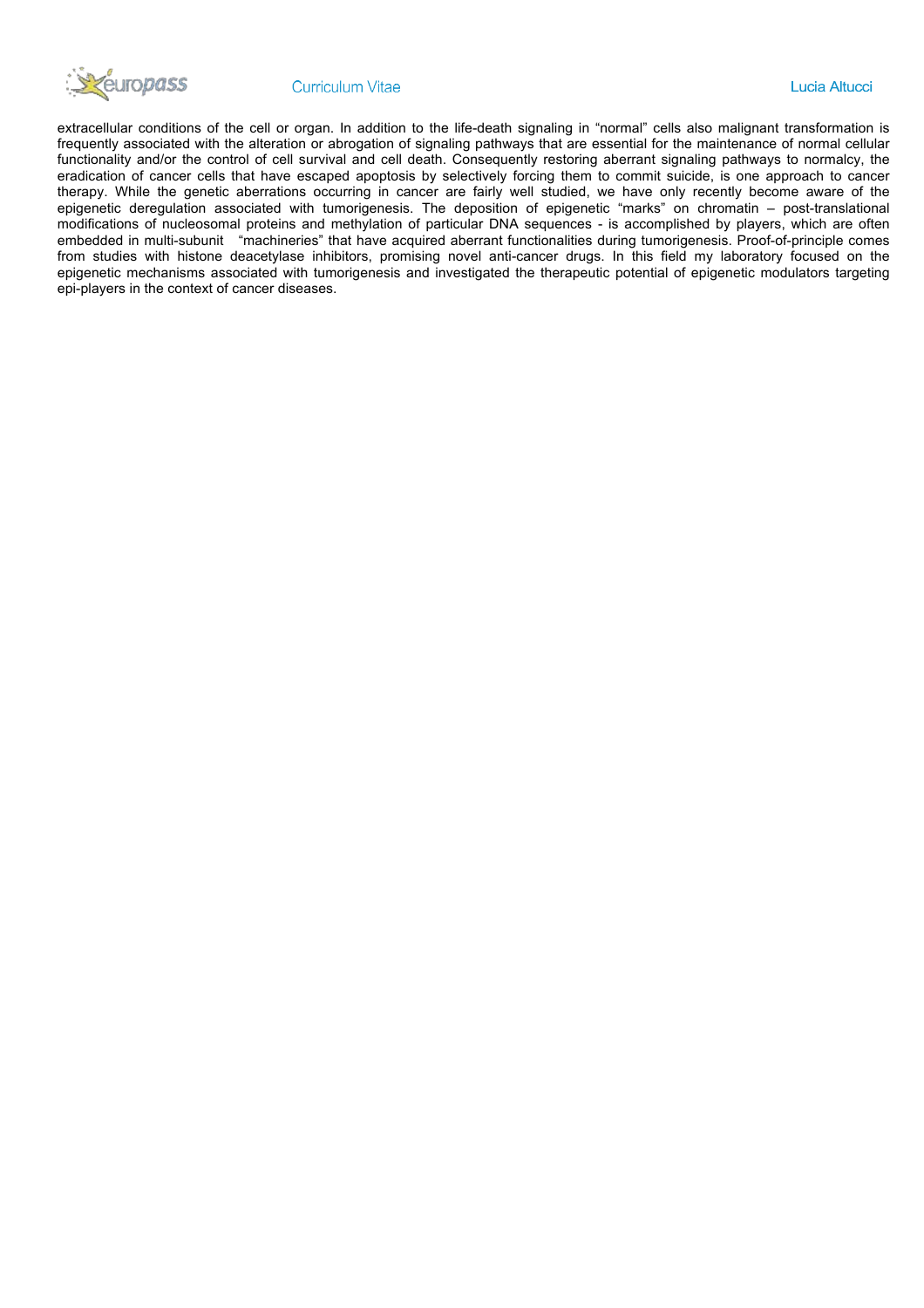

#### **Curriculum Vitae**

extracellular conditions of the cell or organ. In addition to the life-death signaling in "normal" cells also malignant transformation is frequently associated with the alteration or abrogation of signaling pathways that are essential for the maintenance of normal cellular functionality and/or the control of cell survival and cell death. Consequently restoring aberrant signaling pathways to normalcy, the eradication of cancer cells that have escaped apoptosis by selectively forcing them to commit suicide, is one approach to cancer therapy. While the genetic aberrations occurring in cancer are fairly well studied, we have only recently become aware of the epigenetic deregulation associated with tumorigenesis. The deposition of epigenetic "marks" on chromatin – post-translational modifications of nucleosomal proteins and methylation of particular DNA sequences - is accomplished by players, which are often embedded in multi-subunit "machineries" that have acquired aberrant functionalities during tumorigenesis. Proof-of-principle comes from studies with histone deacetylase inhibitors, promising novel anti-cancer drugs. In this field my laboratory focused on the epigenetic mechanisms associated with tumorigenesis and investigated the therapeutic potential of epigenetic modulators targeting epi-players in the context of cancer diseases.